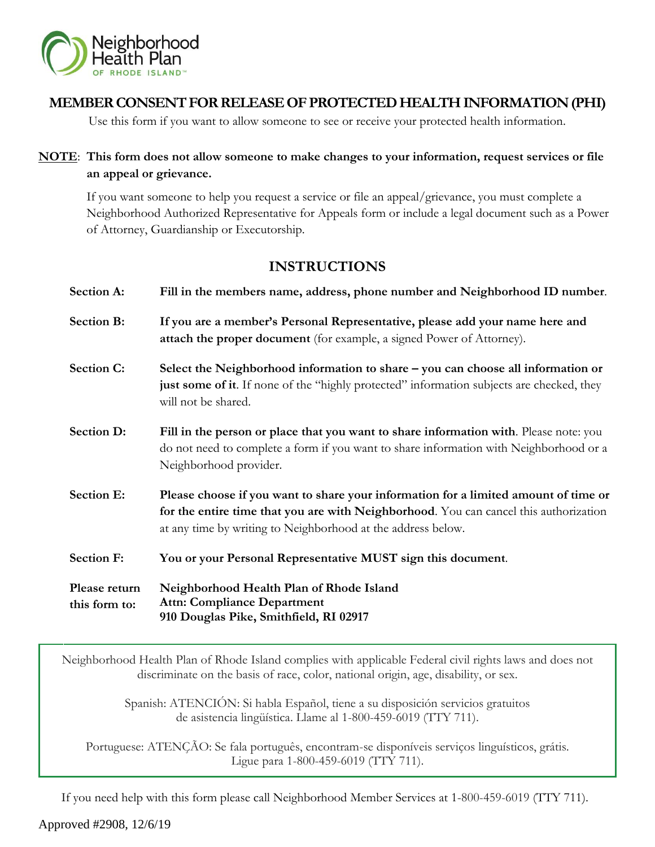

# **MEMBER CONSENT FOR RELEASE OF PROTECTED HEALTH INFORMATION (PHI)**

Use this form if you want to allow someone to see or receive your protected health information.

# **NOTE**: **This form does not allow someone to make changes to your information, request services or file an appeal or grievance.**

If you want someone to help you request a service or file an appeal/grievance, you must complete a Neighborhood Authorized Representative for Appeals form or include a legal document such as a Power of Attorney, Guardianship or Executorship.

# **INSTRUCTIONS**

| <b>Section A:</b>              | Fill in the members name, address, phone number and Neighborhood ID number.                                                                                                                                                                  |  |  |
|--------------------------------|----------------------------------------------------------------------------------------------------------------------------------------------------------------------------------------------------------------------------------------------|--|--|
| Section B:                     | If you are a member's Personal Representative, please add your name here and<br>attach the proper document (for example, a signed Power of Attorney).                                                                                        |  |  |
| Section C:                     | Select the Neighborhood information to share – you can choose all information or<br>just some of it. If none of the "highly protected" information subjects are checked, they<br>will not be shared.                                         |  |  |
| <b>Section D:</b>              | Fill in the person or place that you want to share information with. Please note: you<br>do not need to complete a form if you want to share information with Neighborhood or a<br>Neighborhood provider.                                    |  |  |
| <b>Section E:</b>              | Please choose if you want to share your information for a limited amount of time or<br>for the entire time that you are with Neighborhood. You can cancel this authorization<br>at any time by writing to Neighborhood at the address below. |  |  |
| <b>Section F:</b>              | You or your Personal Representative MUST sign this document.                                                                                                                                                                                 |  |  |
| Please return<br>this form to: | Neighborhood Health Plan of Rhode Island<br><b>Attn: Compliance Department</b><br>910 Douglas Pike, Smithfield, RI 02917                                                                                                                     |  |  |

Neighborhood Health Plan of Rhode Island complies with applicable Federal civil rights laws and does not discriminate on the basis of race, color, national origin, age, disability, or sex.

> Spanish: ATENCIÓN: Si habla Español, tiene a su disposición servicios gratuitos de asistencia lingüística. Llame al 1-800-459-6019 (TTY 711).

Portuguese: ATENÇÃO: Se fala português, encontram-se disponíveis serviços linguísticos, grátis. Ligue para 1-800-459-6019 (TTY 711).

If you need help with this form please call Neighborhood Member Services at 1-800-459-6019 (TTY 711).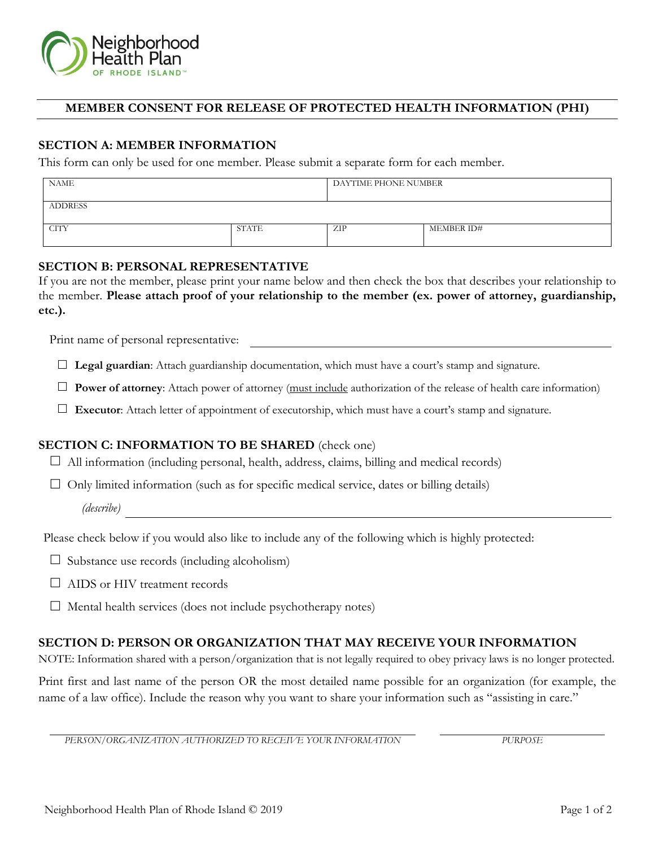

## **MEMBER CONSENT FOR RELEASE OF PROTECTED HEALTH INFORMATION (PHI)**

### **SECTION A: MEMBER INFORMATION**

This form can only be used for one member. Please submit a separate form for each member.

| <b>NAME</b>    |       | DAYTIME PHONE NUMBER |            |
|----------------|-------|----------------------|------------|
| <b>ADDRESS</b> |       |                      |            |
| <b>CITY</b>    | STATE | ZIP                  | MEMBER ID# |

### **SECTION B: PERSONAL REPRESENTATIVE**

If you are not the member, please print your name below and then check the box that describes your relationship to the member. **Please attach proof of your relationship to the member (ex. power of attorney, guardianship, etc.).**

Print name of personal representative:

**Legal guardian**: Attach guardianship documentation, which must have a court's stamp and signature.

**Power of attorney**: Attach power of attorney (must include authorization of the release of health care information)

**Executor**: Attach letter of appointment of executorship, which must have a court's stamp and signature.

#### **SECTION C: INFORMATION TO BE SHARED** (check one)

 $\Box$  All information (including personal, health, address, claims, billing and medical records)

 $\Box$  Only limited information (such as for specific medical service, dates or billing details)

*(describe)*

Please check below if you would also like to include any of the following which is highly protected:

 $\square$  Substance use records (including alcoholism)

 $\Box$  AIDS or HIV treatment records

 $\Box$  Mental health services (does not include psychotherapy notes)

#### **SECTION D: PERSON OR ORGANIZATION THAT MAY RECEIVE YOUR INFORMATION**

NOTE: Information shared with a person/organization that is not legally required to obey privacy laws is no longer protected.

Print first and last name of the person OR the most detailed name possible for an organization (for example, the name of a law office). Include the reason why you want to share your information such as "assisting in care."

*PERSON/ORGANIZATION AUTHORIZED TO RECEIVE YOUR INFORMATION PURPOSE*